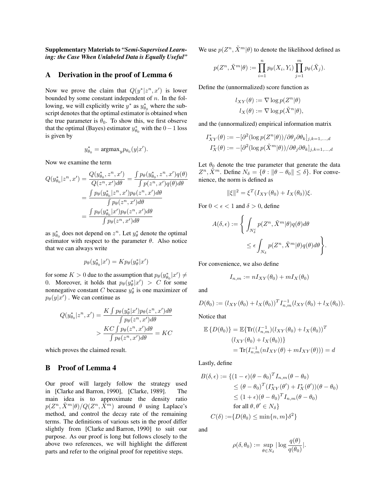Supplementary Materials to *"Semi-Supervised Learning: the Case When Unlabeled Data is Equally Useful"*

## A Derivation in the proof of Lemma 6

Now we prove the claim that  $Q(y^*|z^n, x')$  is lower bounded by some constant independent of  $n$ . In the following, we will explicitly write  $y^*$  as  $y^*_{\theta_0}$  where the subscript denotes that the optimal estimator is obtained when the true parameter is  $\theta_0$ . To show this, we first observe that the optimal (Bayes) estimator  $y_{\theta_0}^*$  with the  $0-1$  loss is given by

$$
y_{\theta_0}^* = \operatorname{argmax}_y p_{\theta_0}(y|x').
$$

Now we examine the term

$$
Q(y_{\theta_0}^* | z^n, x') = \frac{Q(y_{\theta_0}^*, z^n, x')}{Q(z^n, x')d\theta} = \frac{\int p_{\theta}(y_{\theta_0}^*, z^n, x')q(\theta)}{\int p(z^n, x')q(\theta)d\theta}
$$

$$
= \frac{\int p_{\theta}(y_{\theta_0}^* | z^n, x')p_{\theta}(z^n, x')d\theta}{\int p_{\theta}(z^n, x')d\theta}
$$

$$
= \frac{\int p_{\theta}(y_{\theta_0}^* | x')p_{\theta}(z^n, x')d\theta}{\int p_{\theta}(z^n, x')d\theta}
$$

as  $y_{\theta_0}^*$  does not depend on  $z^n$ . Let  $y_\theta^*$  denote the optimal estimator with respect to the parameter  $\theta$ . Also notice that we can always write

$$
p_{\theta}(y_{\theta_0}^*|x') = K p_{\theta}(y_{\theta}^*|x')
$$

for some  $K > 0$  due to the assumption that  $p_{\theta}(y_{\theta_0}^*|x') \neq 0$ 0. Moreover, it holds that  $p_{\theta}(y_{\theta}^*|x') > C$  for some nonnegative constant C because  $y_{\theta}^*$  is one maximizer of  $p_{\theta}(y|x')$  . We can continue as

$$
Q(y_{\theta_0}^* | z^n, x') = \frac{K \int p_{\theta}(y_{\theta}^* | x') p_{\theta}(z^n, x') d\theta}{\int p_{\theta}(z^n, x') d\theta}
$$

$$
> \frac{KC \int p_{\theta}(z^n, x') d\theta}{\int p_{\theta}(z^n, x') d\theta} = KC
$$

which proves the claimed result.

## B Proof of Lemma 4

Our proof will largely follow the strategy used in [Clarke and Barron, 1990], [Clarke, 1989]. The main idea is to approximate the density ratio  $p(Z^n, \tilde{X}^m | \theta) / Q(Z^n, \tilde{\tilde{X}}^m)$  around  $\theta$  using Laplace's method, and control the decay rate of the remaining terms. The definitions of various sets in the proof differ slightly from [Clarke and Barron, 1990] to suit our purpose. As our proof is long but follows closely to the above two references, we will highlight the different parts and refer to the original proof for repetitive steps.

We use  $p(Z^n, \tilde{X}^m | \theta)$  to denote the likelihood defined as

$$
p(Z^n, \tilde{X}^m | \theta) := \prod_{i=1}^n p_{\theta}(X_i, Y_i) \prod_{j=1}^m p_{\theta}(\tilde{X}_j).
$$

Define the (unnormalized) score function as

$$
l_{XY}(\theta) := \nabla \log p(Z^n|\theta)
$$
  

$$
l_X(\theta) := \nabla \log p(\tilde{X}^n|\theta),
$$

and the (unnormalized) empirical information matrix

$$
I_{XY}^*(\theta) := -[\partial^2(\log p(Z^n|\theta))/\partial\theta_j \partial\theta_k]_{j,k=1,\dots,d}
$$
  

$$
I_X^*(\theta) := -[\partial^2(\log p(\tilde{X}^m|\theta))/\partial\theta_j \partial\theta_k]_{j,k=1,\dots,d}
$$

Let  $\theta_0$  denote the true parameter that generate the data  $Z^n$ ,  $\tilde{X}^m$ . Define  $N_\delta = {\theta : ||\theta - \theta_0|| \leq \delta}$ . For convenience, the norm is defined as

$$
\|\xi\|^2 = \xi^T (I_{XY}(\theta_0) + I_X(\theta_0))\xi.
$$

For  $0 < \epsilon < 1$  and  $\delta > 0$ , define

$$
A(\delta, \epsilon) := \left\{ \int_{N_{\delta}^c} p(Z^n, \tilde{X}^m | \theta) q(\theta) d\theta \right\}
$$
  

$$
\leq \epsilon \int_{N_{\delta}} p(Z^n, \tilde{X}^m | \theta) q(\theta) d\theta \right\}.
$$

For convenience, we also define

$$
I_{n,m} := nI_{XY}(\theta_0) + mI_X(\theta_0)
$$

and

$$
D(\theta_0) := (l_{XY}(\theta_0) + l_X(\theta_0))^T I_{n,m}^{-1}(l_{XY}(\theta_0) + l_X(\theta_0)).
$$

Notice that

$$
\mathbb{E}\left\{D(\theta_0)\right\} = \mathbb{E}\{\text{Tr}((I_{n,m}^{-1})(l_{XY}(\theta_0) + l_X(\theta_0)))^T
$$

$$
(l_{XY}(\theta_0) + l_X(\theta_0))\}
$$

$$
= \text{Tr}(I_{n,m}^{-1}(nI_{XY}(\theta) + mI_{XY}(\theta))) = d
$$

Lastly, define

$$
B(\delta, \epsilon) := \{ (1 - \epsilon)(\theta - \theta_0)^T I_{n,m}(\theta - \theta_0) \n\leq (\theta - \theta_0)^T (I_{XY}^*(\theta') + I_X^*(\theta'))(\theta - \theta_0) \n\leq (1 + \epsilon)(\theta - \theta_0)^T I_{n,m}(\theta - \theta_0) \n\text{for all } \theta, \theta' \in N_{\delta} \} \nC(\delta) := \{ D(\theta_0) \leq \min\{n, m\} \delta^2 \}
$$

and

$$
\rho(\delta,\theta_0) := \sup_{\theta \in N_{\delta}} |\log \frac{q(\theta)}{q(\theta_0)}|.
$$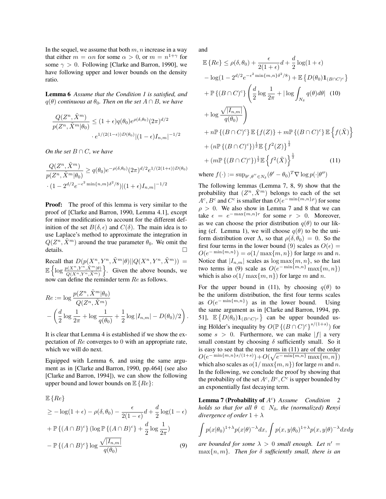In the sequel, we assume that both  $m, n$  increase in a way that either  $m = \alpha n$  for some  $\alpha > 0$ , or  $m = n^{1+\gamma}$  for some  $\gamma > 0$ . Following [Clarke and Barron, 1990], we have following upper and lower bounds on the density ratio.

Lemma 6 *Assume that the Condition 1 is satisfied, and*  $q(\theta)$  *continuous at*  $\theta_0$ *. Then on the set*  $A \cap B$ *, we have* 

$$
\frac{Q(Z^n,\tilde{X}^m)}{p(Z^n,\tilde{X}^m|\theta_0)} \leq (1+\epsilon)q(\theta_0)e^{\rho(\delta,\theta_0)}(2\pi)^{d/2}
$$

$$
\cdot e^{1/(2(1-\epsilon))D(\theta_0)}|(1-\epsilon)I_{n,m}|^{-1/2}
$$

*On the set*  $B \cap C$ *, we have* 

$$
\frac{Q(Z^n, \tilde{X}^m)}{p(Z^n, \tilde{X}^m | \theta_0)} \ge q(\theta_0) e^{-\rho(\delta, \theta_0)} (2\pi)^{d/2} e^{1/(2(1+\epsilon))D(\theta_0)}
$$
  
 
$$
\cdot (1 - 2^{d/2} e^{-\epsilon^2 \min\{n, m\}\delta^2/8}) | (1+\epsilon) I_{n,m} |^{-1/2}
$$

**Proof:** The proof of this lemma is very similar to the proof of [Clarke and Barron, 1990, Lemma 4.1], except for minor modifications to account for the different definition of the set  $B(\delta, \epsilon)$  and  $C(\delta)$ . The main idea is to use Laplace's method to approximate the integration in  $Q(Z^n, \tilde{X}^m)$  around the true parameter  $\theta_0$ . We omit the details.

Recall that  $D(p(X^n, Y^n, \tilde{X}^m | \theta) || Q(X^n, Y^n, \tilde{X}^m)) =$  $\mathbb{E}\left\{\log \frac{p(X^n, Y^n, \tilde{X}^m | \theta)}{Q(X^n, Y^n, \tilde{X}^m)}\right\}$ . Given the above bounds, we now can define the reminder term Re as follows.

$$
Re := \log \frac{p(Z^n, \tilde{X}^m | \theta_0)}{Q(Z^n, \tilde{X}^m)}
$$
  
-  $\left(\frac{d}{2} \log \frac{1}{2\pi} + \log \frac{1}{q(\theta_0)} + \frac{1}{2} \log |I_{n,m}| - D(\theta_0)/2\right).$ 

It is clear that Lemma 4 is established if we show the expectation of Re converges to 0 with an appropriate rate, which we will do next.

Equipped with Lemma 6, and using the same argument as in [Clarke and Barron, 1990, pp.464] (see also [Clarke and Barron, 1994]), we can show the following upper bound and lower bounds on  $\mathbb{E}\{Re\}$ :

$$
\mathbb{E}\left\{Re\right\}
$$
\n
$$
\geq -\log(1+\epsilon) - \rho(\delta, \theta_0) - \frac{\epsilon}{2(1-\epsilon)}d + \frac{d}{2}\log(1-\epsilon)
$$
\n
$$
+ \mathbb{P}\left\{(A \cap B)^c\right\} (\log \mathbb{P}\left\{(A \cap B)^c\right\} + \frac{d}{2}\log \frac{1}{2\pi})
$$
\n
$$
- \mathbb{P}\left\{(A \cap B)^c\right\} \log \frac{\sqrt{|I_{n,m}|}}{q(\theta_0)} \tag{9}
$$

and

$$
\mathbb{E}\left\{Re\right\} \leq \rho(\delta,\theta_0) + \frac{\epsilon}{2(1+\epsilon)}d + \frac{d}{2}\log(1+\epsilon)
$$
  
\n
$$
-\log(1 - 2^{d/2}e^{-\epsilon^2 \min\{m,n\}\delta^2/8}) + \mathbb{E}\left\{D(\theta_0)\mathbf{1}_{(B\cap C)^c}\right\}
$$
  
\n
$$
+ \mathbb{P}\left\{(B\cap C)^c\right\}\left(\frac{d}{2}\log\frac{1}{2\pi} + |\log \int_{N_\delta} q(\theta)d\theta| \quad (10)
$$
  
\n
$$
+ \log \frac{\sqrt{|I_{n,m}|}}{q(\theta_0)}\right)
$$
  
\n
$$
+ n \mathbb{P}\left\{(B\cap C)^c\right\} \mathbb{E}\left\{f(Z)\right\} + m \mathbb{P}\left\{(B\cap C)^c\right\} \mathbb{E}\left\{f(\tilde{X})\right\}
$$
  
\n
$$
+ (n \mathbb{P}\left\{(B\cap C)^c\right\})^{\frac{1}{2}} \mathbb{E}\left\{f^2(Z)\right\}^{\frac{1}{2}}
$$
  
\n
$$
+ (m \mathbb{P}\left\{(B\cap C)^c\right\})^{\frac{1}{2}} \mathbb{E}\left\{f^2(\tilde{X})\right\}^{\frac{1}{2}}
$$
  
\n
$$
+ (n \mathbb{P}\left\{(B\cap C)^c\right\})^{\frac{1}{2}} \mathbb{E}\left\{f^2(\tilde{X})\right\}^{\frac{1}{2}}
$$
  
\n
$$
(11)
$$

where  $f(\cdot) := \sup_{\theta', \theta'' \in N_{\delta}} (\theta' - \theta_0)^T \nabla \log p(\cdot | \theta'')$ 

The following lemmas (Lemma 7, 8, 9) show that the probability that  $(Z^n, \tilde{X}^m)$  belongs to each of the set  $A^c$ ,  $B^c$  and  $C^c$  is smaller than  $O(e^{-\min\{m,n\}\rho})$  for some  $\rho > 0$ . We also show in Lemma 7 and 8 that we can take  $\epsilon = e^{-\max\{m,n\}r}$  for some  $r > 0$ . Moreover, as we can choose the prior distribution  $q(\theta)$  to our liking (cf. Lemma 1), we will choose  $q(\theta)$  to be the uniform distribution over  $\Lambda$ , so that  $\rho(\delta, \theta_0) = 0$ . So the first four terms in the lower bound (9) scales as  $O(\epsilon)$  =  $O(e^{-\min\{m,n\}}) = o(1/\max\{m,n\})$  for large m and n. Notice that  $|I_{n,m}|$  scales as  $\log \max\{m, n\}$ , so the last two terms in (9) scale as  $O(e^{-\min\{m,n\}}\max\{m,n\})$ which is also  $o(1/\max\{m, n\})$  for large m and n.

For the upper bound in (11), by choosing  $q(\theta)$  to be the uniform distribution, the first four terms scales as  $O(e^{-\min\{m,n\}})$  as in the lower bound. Using the same argument as in [Clarke and Barron, 1994, pp. 51],  $\mathbb{E}\left\{D(\theta_0)\mathbf{1}_{(B\cap C)^c}\right\}$  can be upper bounded using Hölder's inequality by  $O(P \{ (B \cap C)^c \}^{s/(1+s)})$  for some  $s > 0$ . Furthermore, we can make |f| a very small constant by choosing  $\delta$  sufficiently small. So it is easy to see that the rest terms in (11) are of the order  $O(e^{-\min\{m,n\} s/(1+s)})+O(\sqrt{e^{-\min\{m,n\}\max\{m,n\}}})$ which also scales as  $o(1/\max\{m, n\})$  for large m and n. In the following, we conclude the proof by showing that the probability of the set  $A^c, B^c, C^c$  is upper bounded by an exponentially fast decaying term.

**Lemma 7 (Probability of**  $A^c$ ) Assume Condition 2 *holds so that for all*  $\theta \in N_{\delta}$ *, the (normalized) Renyi divergence of order*  $1 + \lambda$ 

$$
\int p(x|\theta_0)^{1+\lambda} p(x|\theta)^{-\lambda} dx, \int p(x,y|\theta_0)^{1+\lambda} p(x,y|\theta)^{-\lambda} dx dy
$$

*are bounded for some*  $\lambda > 0$  *small enough. Let*  $n' =$ max{n, m}*. Then for* δ *sufficiently small, there is an*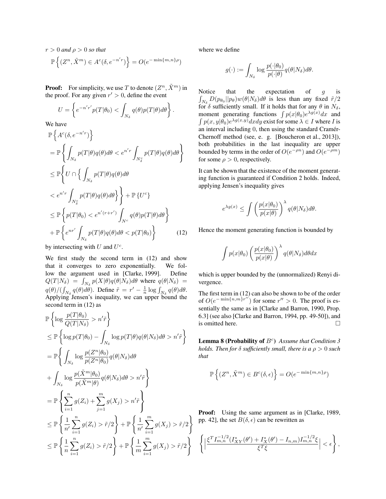$r > 0$  *and*  $\rho > 0$  *so that* 

$$
\mathbb{P}\left\{ (Z^n, \tilde{X}^m) \in A^c(\delta, e^{-n'r}) \right\} = O(e^{-\min\{m, n\}\rho})
$$

**Proof:** For simplicity, we use T to denote  $(Z^n, \tilde{X}^m)$  in the proof. For any given  $r' > 0$ , define the event

$$
U = \left\{ e^{-n'r'} p(T|\theta_0) < \int_{N_\delta} q(\theta) p(T|\theta) d\theta \right\}.
$$

We have

$$
\mathbb{P}\left\{A^{c}(\delta, e^{-n'r})\right\} \n= \mathbb{P}\left\{\int_{N_{\delta}} p(T|\theta)q(\theta)d\theta < e^{n'r}\int_{N_{\delta}^{c}} p(T|\theta)q(\theta)d\theta\right\} \n\leq \mathbb{P}\left\{U \cap \left\{\int_{N_{\delta}} p(T|\theta)q(\theta)d\theta\right\} \n< e^{n'r}\int_{N_{\delta}^{c}} p(T|\theta)q(\theta)d\theta\right\} + \mathbb{P}\left\{U^{c}\right\} \n\leq \mathbb{P}\left\{p(T|\theta_{0}) < e^{n'(r+r')}\int_{N^{c}} q(\theta)p(T|\theta)d\theta\right\} \n+ \mathbb{P}\left\{e^{nr'}\int_{N_{\delta}} p(T|\theta)q(\theta)d\theta < p(T|\theta_{0})\right\}
$$
\n(12)

by intersecting with  $U$  and  $U<sup>c</sup>$ .

We first study the second term in (12) and show that it converges to zero exponentially. We follow the argument used in [Clarke, 1999]. Define  $Q(T|N_{\delta}) = \int_{N_{\delta}} p(X|\theta)q(\theta|N_{\delta})d\theta$  where  $q(\theta|N_{\delta}) =$  $q(\theta)/(\int_{N_\delta} q(\theta)d\theta)$ . Define  $\tilde{r} = r' - \frac{1}{n}\log \int_{N_\delta} q(\theta)d\theta$ . Applying Jensen's inequality, we can upper bound the second term in (12) as

$$
\mathbb{P}\left\{\log\frac{p(T|\theta_{0})}{Q(T|N_{\delta})} > n'\tilde{r}\right\}
$$
\n
$$
\leq \mathbb{P}\left\{\log p(T|\theta_{0}) - \int_{N_{\delta}} \log p(T|\theta)q(\theta|N_{\delta})d\theta > n'\tilde{r}\right\}
$$
\n
$$
= \mathbb{P}\left\{\int_{N_{\delta}} \log \frac{p(Z^{n}|\theta_{0})}{p(Z^{n}|\theta_{0})}q(\theta|N_{\delta})d\theta
$$
\n
$$
+ \int_{N_{\delta}} \log \frac{p(\tilde{X}^{m}|\theta_{0})}{p(\tilde{X}^{m}|\theta)}q(\theta|N_{\delta})d\theta > n'\tilde{r}\right\}
$$
\n
$$
= \mathbb{P}\left\{\sum_{i=1}^{n} g(Z_{i}) + \sum_{j=1}^{m} g(X_{j}) > n'\tilde{r}\right\}
$$
\n
$$
\leq \mathbb{P}\left\{\frac{1}{n'}\sum_{i=1}^{n} g(Z_{i}) > \tilde{r}/2\right\} + \mathbb{P}\left\{\frac{1}{n'}\sum_{i=1}^{m} g(X_{j}) > \tilde{r}/2\right\}
$$
\n
$$
\leq \mathbb{P}\left\{\frac{1}{n}\sum_{i=1}^{n} g(Z_{i}) > \tilde{r}/2\right\} + \mathbb{P}\left\{\frac{1}{m}\sum_{i=1}^{m} g(X_{j}) > \tilde{r}/2\right\}
$$

where we define

$$
g(\cdot) := \int_{N_{\delta}} \log \frac{p(\cdot|\theta_0)}{p(\cdot|\theta)} q(\theta|N_{\delta}) d\theta.
$$

Notice that the expectation of  $g$  is  $\int_{N_\delta} D(p_{\theta_0} || p_\theta) w(\theta | N_\delta) d\theta$  is less than any fixed  $\tilde{r}/2$ for  $\delta$  sufficiently small. If it holds that for any  $\theta$  in  $N_{\delta}$ , moment generating functions  $\int p(x|\theta_0)e^{\lambda g(x)}dx$  and  $\int p(x,y|\theta_0)e^{\lambda g(x,y)}dxdy$  exist for some  $\lambda \in I$  where I is an interval including 0, then using the standard Cramér-Chernoff method (see, e. g. [Boucheron et al., 2013]), both probabilities in the last inequality are upper bounded by terms in the order of  $O(e^{-\rho n})$  and  $O(e^{-\rho m})$ for some  $\rho > 0$ , respectively.

It can be shown that the existence of the moment generating function is guaranteed if Condition 2 holds. Indeed, applying Jensen's inequality gives

$$
e^{\lambda g(x)} \le \int \left(\frac{p(x|\theta_0)}{p(x|\theta)}\right)^{\lambda} q(\theta|N_{\delta}) d\theta.
$$

Hence the moment generating function is bounded by

$$
\int p(x|\theta_0) \left(\frac{p(x|\theta_0)}{p(x|\theta)}\right)^{\lambda} q(\theta|N_{\delta}) d\theta dx
$$

which is upper bounded by the (unnormalized) Renyi divergence.

The first term in (12) can also be shown to be of the order of  $O(e^{-\min\{n,m\}r''})$  for some  $r'' > 0$ . The proof is essentially the same as in [Clarke and Barron, 1990, Prop. 6.3] (see also [Clarke and Barron, 1994, pp. 49-50]), and is omitted here.

Lemma 8 (Probability of  $B^c$ ) Assume that Condition 3 *holds. Then for*  $\delta$  *sufficiently small, there is a*  $\rho > 0$  *such that*

$$
\mathbb{P}\left\{(Z^n, \tilde{X}^m) \in B^c(\delta, \epsilon)\right\} = O(e^{-\min\{m, n\}\rho})
$$

Proof: Using the same argument as in [Clarke, 1989, pp. 42], the set  $B(\delta, \epsilon)$  can be rewritten as

$$
\left\{ \left| \frac{\xi^T I_{m,n}^{-1/2} (I_{XY}^*(\theta') + I_X^*(\theta') - I_{n,m}) I_{m,n}^{-1/2} \xi}{\xi^T \xi} \right| < \epsilon \right\},\
$$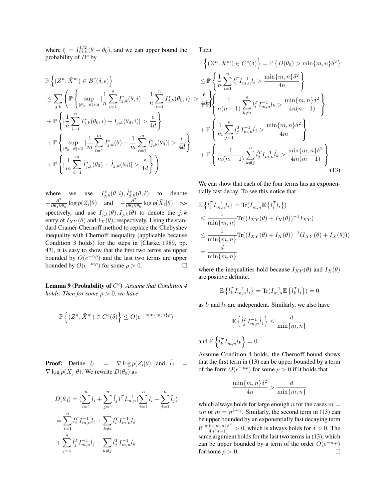where  $\xi = I_{m,n}^{1/2}(\theta - \theta_0)$ , and we can upper bound the probability of  $B^c$  by

$$
\mathbb{P}\left\{ (Z^n, \tilde{X}^m) \in B^c(\delta, \epsilon) \right\}
$$
\n
$$
\leq \sum_{j,k} \left( \mathbb{P}\left\{ \sup_{|\theta_0 - \theta| < \delta} \left| \frac{1}{n} \sum_{i=1}^n I_{j,k}^*(\theta, i) - \frac{1}{n} \sum_{i=1}^n I_{j,k}^*(\theta_0, i) \right| \right\}
$$
\n
$$
+ \mathbb{P}\left\{ \left| \frac{1}{n} \sum_{i=1}^n I_{j,k}^*(\theta_0, i) - I_{j,k}(\theta_0, i) \right| > \frac{\epsilon}{4d} \right\}
$$
\n
$$
+ \mathbb{P}\left\{ \sup_{|\theta_0 - \theta| < \delta} \left| \frac{1}{m} \sum_{\ell=1}^m \tilde{I}_{j,k}^*(\theta) - \frac{1}{m} \sum_{\ell=1}^m \tilde{I}_{j,k}^*(\theta_0) \right| > \frac{\epsilon}{4d} \right\}
$$
\n
$$
+ \mathbb{P}\left\{ \left| \frac{1}{m} \sum_{\ell=1}^m \tilde{I}_{j,k}^*(\theta_0) - \tilde{I}_{j,k}(\theta_0) \right| > \frac{\epsilon}{4d} \right\}
$$

where we use  $I_{j,k}^*(\theta,i), \tilde{I}_{j,k}^*(\theta,\ell)$  to denote  $-\frac{\partial^2}{\partial \theta}$  $\frac{\partial^2}{\partial \theta_j \partial \theta_k} \log p(Z_i|\theta)$  and  $-\frac{\partial^2}{\partial \theta_j \partial \theta_k}$  $\frac{\partial^2}{\partial \theta_j \partial \theta_k} \log p(\tilde{X}_\ell|\theta)$  respectively, and use  $I_{j,k}(\theta)$ ,  $\tilde{I}_{j,k}(\theta)$  to denote the j, k entry of  $I_{XY}(\theta)$  and  $I_X(\theta)$ , respectively. Using the standard Cramér-Chernoff method to replace the Chebyshev inequality with Chernoff inequality (applicable because Condition 3 holds) for the steps in [Clarke, 1989, pp. 43], it is easy to show that the first two terms are upper bounded by  $O(e^{-n\rho})$  and the last two terms are upper bounded by  $O(e^{-m\rho})$  for some  $\rho > 0$ .

Lemma 9 (Probability of  $C^c$ ) Assume that Condition 4 *holds. Then for some*  $\rho > 0$ *, we have* 

$$
\mathbb{P}\left\{(Z^n,\tilde{X}^m)\in C^c(\delta)\right\}\leq O(e^{-\min\{m,n\}\rho})
$$

**Proof:** Define  $l_i$  :=  $\nabla \log p(Z_i|\theta)$  and  $\tilde{l}_j$  =  $\nabla \log p(\tilde{X}_j|\theta)$ . We rewrite  $D(\theta_0)$  as

$$
D(\theta_0) = \left(\sum_{i=1}^n l_i + \sum_{j=1}^n \tilde{l}_j\right)^T I_{m,n}^{-1} \left(\sum_{i=1}^n l_i + \sum_{j=1}^n \tilde{l}_j\right)
$$
  
= 
$$
\sum_{i=1}^n l_i^T I_{m,n}^{-1} l_i + \sum_{k \neq i} l_i^T I_{m,n}^{-1} l_k
$$
  
+ 
$$
\sum_{j=1}^n \tilde{l}_j^T I_{m,n}^{-1} \tilde{l}_j + \sum_{k \neq j} \tilde{l}_j^T I_{m,n}^{-1} \tilde{l}_k
$$

Then

$$
\mathbb{P}\left\{ (Z^n, \tilde{X}^m) \in C^c(\delta) \right\} = \mathbb{P}\left\{ D(\theta_0) > \min\{m, n\} \delta^2 \right\} \n\leq \mathbb{P}\left\{ \frac{1}{n} \sum_{i=1}^n l_i^T I_{m,n}^{-1} l_i > \frac{\min\{m, n\} \delta^2}{4n} \right\} \n> \frac{\epsilon}{4d\Phi} \left\{ \frac{1}{n(n-1)} \sum_{k \neq i}^n l_i^T I_{m,n}^{-1} l_k > \frac{\min\{m, n\} \delta^2}{4n(n-1)} \right\} \n+ \mathbb{P}\left\{ \frac{1}{m} \sum_{j=1}^n \tilde{l}_j^T I_{m,n}^{-1} \tilde{l}_j > \frac{\min\{m, n\} \delta^2}{4m} \right\} \n+ \mathbb{P}\left\{ \frac{1}{m(m-1)} \sum_{k \neq j}^n \tilde{l}_j^T I_{m,n}^{-1} \tilde{l}_k > \frac{\min\{m, n\} \delta^2}{4m(m-1)} \right\} \n+ (13)
$$

We can show that each of the four terms has an exponentially fast decay. To see this notice that

$$
\mathbb{E}\left\{l_i^T I_{m,n}^{-1} l_i\right\} = \text{Tr}(I_{m,n}^{-1} \mathbb{E}\left\{l_i^T l_i\right\})
$$
\n
$$
\leq \frac{1}{\min\{m,n\}} \text{Tr}((I_{XY}(\theta) + I_X(\theta))^{-1} I_{XY})
$$
\n
$$
\leq \frac{1}{\min\{m,n\}} \text{Tr}((I_{XY}(\theta) + I_X(\theta))^{-1} (I_{XY}(\theta) + I_X(\theta)))
$$
\n
$$
= \frac{d}{\min\{m,n\}}
$$

where the inequalities hold because  $I_{XY}(\theta)$  and  $I_X(\theta)$ are positive definite.

$$
\mathbb{E}\left\{l_k^T I_{m,n}^{-1} l_i\right\} = \text{Tr}(I_{m,n}^{-1} \mathbb{E}\left\{l_k^T l_i\right\}\right) = 0
$$

as  $l_i$  and  $l_k$  are independent. Similarly, we also have

$$
\mathbb{E}\left\{\tilde{l}_j^T I_{m,n}^{-1} \tilde{l}_j\right\} \leq \frac{d}{\min\{m,n\}}
$$

and 
$$
\mathbb{E}\left\{\tilde{l}_k^T I_{m,n}^{-1} \tilde{l}_k\right\} = 0.
$$

Assume Condition 4 holds, the Chernoff bound shows that the first term in (13) can be upper bounded by a term of the form  $O(e^{-n\rho})$  for some  $\rho > 0$  if it holds that

$$
\frac{\min\{m, n\}\delta^2}{4n} > \frac{d}{\min\{m, n\}}
$$

which always holds for large enough n for the cases  $m =$  $\alpha n$  or  $m = n^{1+\gamma}$ . Similarly, the second term in (13) can be upper bounded by an exponentially fast decaying term if  $\frac{\min\{m,n\}\delta^2}{4n(n-1)} > 0$ , which is always holds for  $\delta > 0$ . The same argument holds for the last two terms in (13), which can be upper bounded by a term of the order  $O(e^{-m\rho})$ for some  $\rho > 0$ .